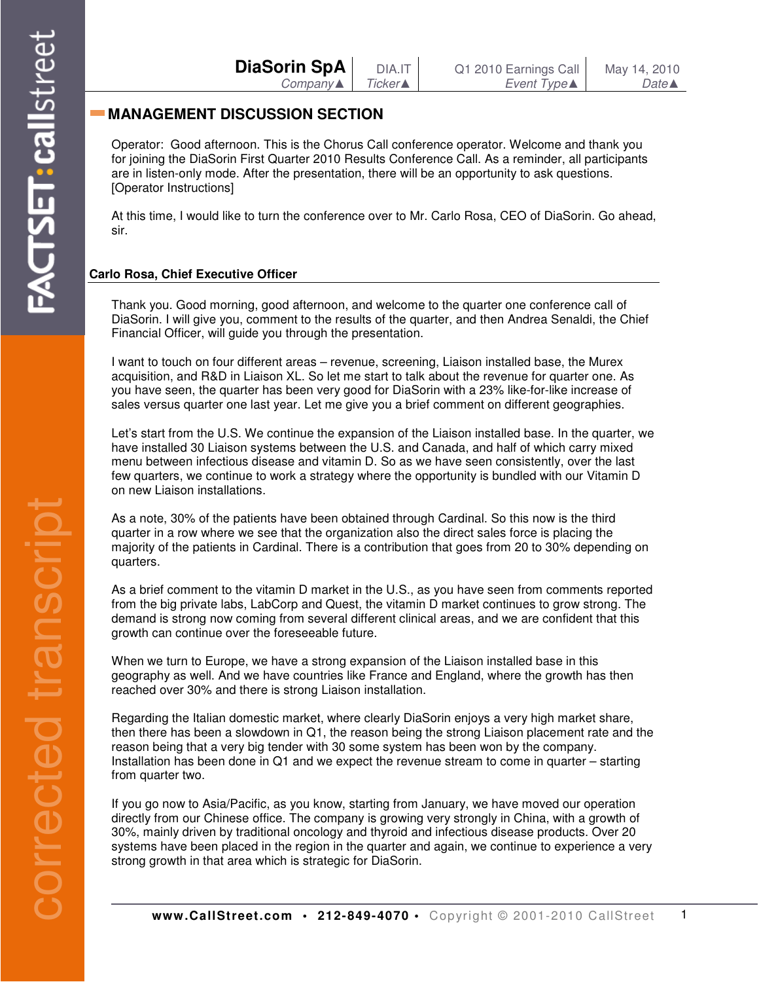| <b>DiaSorin SpA</b> | DIA.IT  | Q1 2010 Earnings Call | May 14, 2010     |
|---------------------|---------|-----------------------|------------------|
| $Company$           | Ticker▲ | Event Type▲           | $Date \triangle$ |

# **MANAGEMENT DISCUSSION SECTION**

Operator: Good afternoon. This is the Chorus Call conference operator. Welcome and thank you for joining the DiaSorin First Quarter 2010 Results Conference Call. As a reminder, all participants are in listen-only mode. After the presentation, there will be an opportunity to ask questions. [Operator Instructions]

At this time, I would like to turn the conference over to Mr. Carlo Rosa, CEO of DiaSorin. Go ahead, sir.

## **Carlo Rosa, Chief Executive Officer**

Thank you. Good morning, good afternoon, and welcome to the quarter one conference call of DiaSorin. I will give you, comment to the results of the quarter, and then Andrea Senaldi, the Chief Financial Officer, will guide you through the presentation.

I want to touch on four different areas – revenue, screening, Liaison installed base, the Murex acquisition, and R&D in Liaison XL. So let me start to talk about the revenue for quarter one. As you have seen, the quarter has been very good for DiaSorin with a 23% like-for-like increase of sales versus quarter one last year. Let me give you a brief comment on different geographies.

Let's start from the U.S. We continue the expansion of the Liaison installed base. In the quarter, we have installed 30 Liaison systems between the U.S. and Canada, and half of which carry mixed menu between infectious disease and vitamin D. So as we have seen consistently, over the last few quarters, we continue to work a strategy where the opportunity is bundled with our Vitamin D on new Liaison installations.

As a note, 30% of the patients have been obtained through Cardinal. So this now is the third quarter in a row where we see that the organization also the direct sales force is placing the majority of the patients in Cardinal. There is a contribution that goes from 20 to 30% depending on quarters.

As a brief comment to the vitamin D market in the U.S., as you have seen from comments reported from the big private labs, LabCorp and Quest, the vitamin D market continues to grow strong. The demand is strong now coming from several different clinical areas, and we are confident that this growth can continue over the foreseeable future.

When we turn to Europe, we have a strong expansion of the Liaison installed base in this geography as well. And we have countries like France and England, where the growth has then reached over 30% and there is strong Liaison installation.

Regarding the Italian domestic market, where clearly DiaSorin enjoys a very high market share, then there has been a slowdown in Q1, the reason being the strong Liaison placement rate and the reason being that a very big tender with 30 some system has been won by the company. Installation has been done in Q1 and we expect the revenue stream to come in quarter – starting from quarter two.

If you go now to Asia/Pacific, as you know, starting from January, we have moved our operation directly from our Chinese office. The company is growing very strongly in China, with a growth of 30%, mainly driven by traditional oncology and thyroid and infectious disease products. Over 20 systems have been placed in the region in the quarter and again, we continue to experience a very strong growth in that area which is strategic for DiaSorin.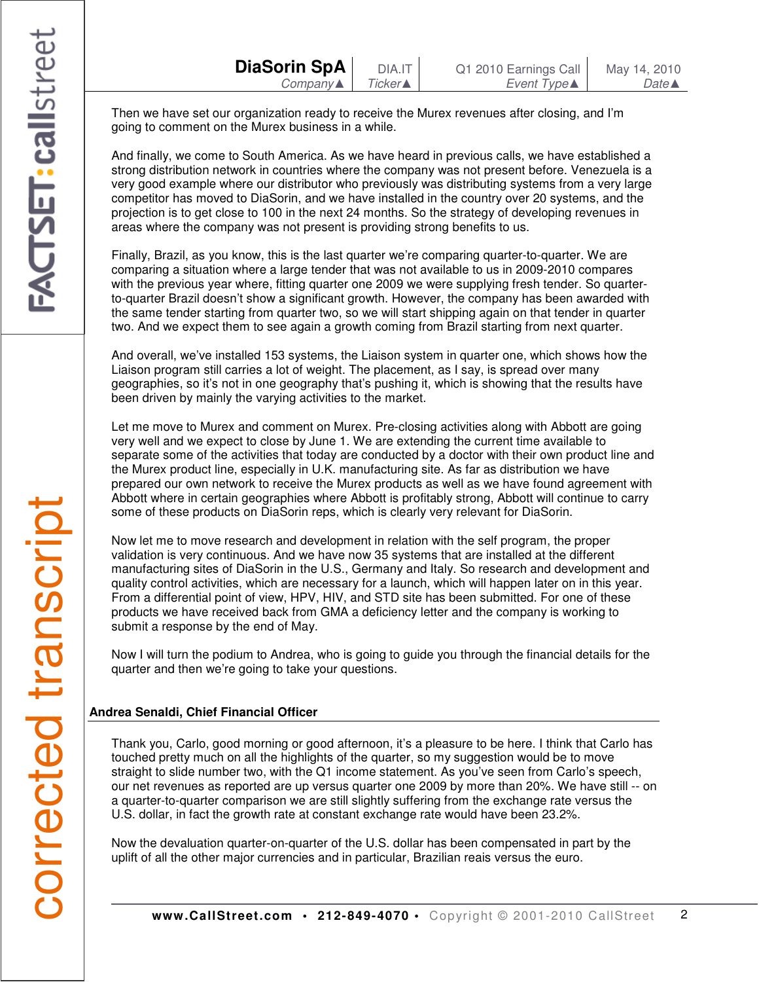Then we have set our organization ready to receive the Murex revenues after closing, and I'm going to comment on the Murex business in a while.

And finally, we come to South America. As we have heard in previous calls, we have established a strong distribution network in countries where the company was not present before. Venezuela is a very good example where our distributor who previously was distributing systems from a very large competitor has moved to DiaSorin, and we have installed in the country over 20 systems, and the projection is to get close to 100 in the next 24 months. So the strategy of developing revenues in areas where the company was not present is providing strong benefits to us.

Finally, Brazil, as you know, this is the last quarter we're comparing quarter-to-quarter. We are comparing a situation where a large tender that was not available to us in 2009-2010 compares with the previous year where, fitting quarter one 2009 we were supplying fresh tender. So quarterto-quarter Brazil doesn't show a significant growth. However, the company has been awarded with the same tender starting from quarter two, so we will start shipping again on that tender in quarter two. And we expect them to see again a growth coming from Brazil starting from next quarter.

And overall, we've installed 153 systems, the Liaison system in quarter one, which shows how the Liaison program still carries a lot of weight. The placement, as I say, is spread over many geographies, so it's not in one geography that's pushing it, which is showing that the results have been driven by mainly the varying activities to the market.

Let me move to Murex and comment on Murex. Pre-closing activities along with Abbott are going very well and we expect to close by June 1. We are extending the current time available to separate some of the activities that today are conducted by a doctor with their own product line and the Murex product line, especially in U.K. manufacturing site. As far as distribution we have prepared our own network to receive the Murex products as well as we have found agreement with Abbott where in certain geographies where Abbott is profitably strong, Abbott will continue to carry some of these products on DiaSorin reps, which is clearly very relevant for DiaSorin.

Now let me to move research and development in relation with the self program, the proper validation is very continuous. And we have now 35 systems that are installed at the different manufacturing sites of DiaSorin in the U.S., Germany and Italy. So research and development and quality control activities, which are necessary for a launch, which will happen later on in this year. From a differential point of view, HPV, HIV, and STD site has been submitted. For one of these products we have received back from GMA a deficiency letter and the company is working to submit a response by the end of May.

Now I will turn the podium to Andrea, who is going to guide you through the financial details for the quarter and then we're going to take your questions.

### **Andrea Senaldi, Chief Financial Officer**

Thank you, Carlo, good morning or good afternoon, it's a pleasure to be here. I think that Carlo has touched pretty much on all the highlights of the quarter, so my suggestion would be to move straight to slide number two, with the Q1 income statement. As you've seen from Carlo's speech, our net revenues as reported are up versus quarter one 2009 by more than 20%. We have still -- on a quarter-to-quarter comparison we are still slightly suffering from the exchange rate versus the U.S. dollar, in fact the growth rate at constant exchange rate would have been 23.2%.

Now the devaluation quarter-on-quarter of the U.S. dollar has been compensated in part by the uplift of all the other major currencies and in particular, Brazilian reais versus the euro.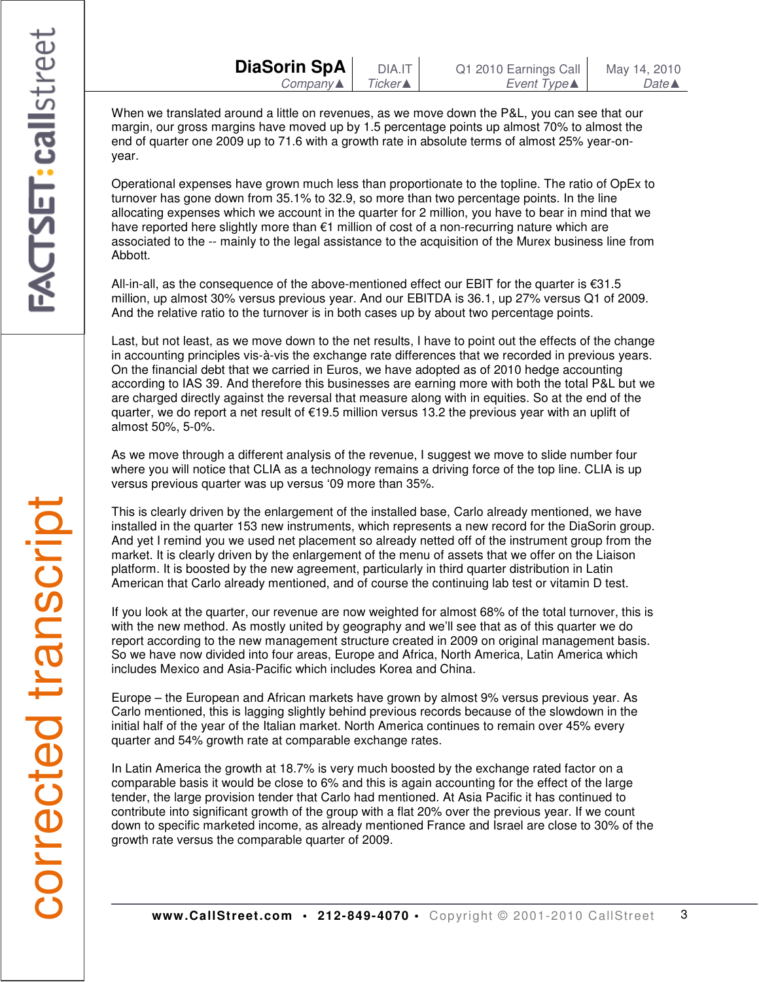| <b>DiaSorin SpA</b> |                     |
|---------------------|---------------------|
|                     | $Company \triangle$ |

When we translated around a little on revenues, as we move down the P&L, you can see that our margin, our gross margins have moved up by 1.5 percentage points up almost 70% to almost the end of quarter one 2009 up to 71.6 with a growth rate in absolute terms of almost 25% year-onyear.

Operational expenses have grown much less than proportionate to the topline. The ratio of OpEx to turnover has gone down from 35.1% to 32.9, so more than two percentage points. In the line allocating expenses which we account in the quarter for 2 million, you have to bear in mind that we have reported here slightly more than €1 million of cost of a non-recurring nature which are associated to the -- mainly to the legal assistance to the acquisition of the Murex business line from Abbott.

All-in-all, as the consequence of the above-mentioned effect our EBIT for the quarter is €31.5 million, up almost 30% versus previous year. And our EBITDA is 36.1, up 27% versus Q1 of 2009. And the relative ratio to the turnover is in both cases up by about two percentage points.

Last, but not least, as we move down to the net results, I have to point out the effects of the change in accounting principles vis-à-vis the exchange rate differences that we recorded in previous years. On the financial debt that we carried in Euros, we have adopted as of 2010 hedge accounting according to IAS 39. And therefore this businesses are earning more with both the total P&L but we are charged directly against the reversal that measure along with in equities. So at the end of the quarter, we do report a net result of €19.5 million versus 13.2 the previous year with an uplift of almost 50%, 5-0%.

As we move through a different analysis of the revenue, I suggest we move to slide number four where you will notice that CLIA as a technology remains a driving force of the top line. CLIA is up versus previous quarter was up versus '09 more than 35%.

This is clearly driven by the enlargement of the installed base, Carlo already mentioned, we have installed in the quarter 153 new instruments, which represents a new record for the DiaSorin group. And yet I remind you we used net placement so already netted off of the instrument group from the market. It is clearly driven by the enlargement of the menu of assets that we offer on the Liaison platform. It is boosted by the new agreement, particularly in third quarter distribution in Latin American that Carlo already mentioned, and of course the continuing lab test or vitamin D test.

If you look at the quarter, our revenue are now weighted for almost 68% of the total turnover, this is with the new method. As mostly united by geography and we'll see that as of this quarter we do report according to the new management structure created in 2009 on original management basis. So we have now divided into four areas, Europe and Africa, North America, Latin America which includes Mexico and Asia-Pacific which includes Korea and China.

Europe – the European and African markets have grown by almost 9% versus previous year. As Carlo mentioned, this is lagging slightly behind previous records because of the slowdown in the initial half of the year of the Italian market. North America continues to remain over 45% every quarter and 54% growth rate at comparable exchange rates.

In Latin America the growth at 18.7% is very much boosted by the exchange rated factor on a comparable basis it would be close to 6% and this is again accounting for the effect of the large tender, the large provision tender that Carlo had mentioned. At Asia Pacific it has continued to contribute into significant growth of the group with a flat 20% over the previous year. If we count down to specific marketed income, as already mentioned France and Israel are close to 30% of the growth rate versus the comparable quarter of 2009.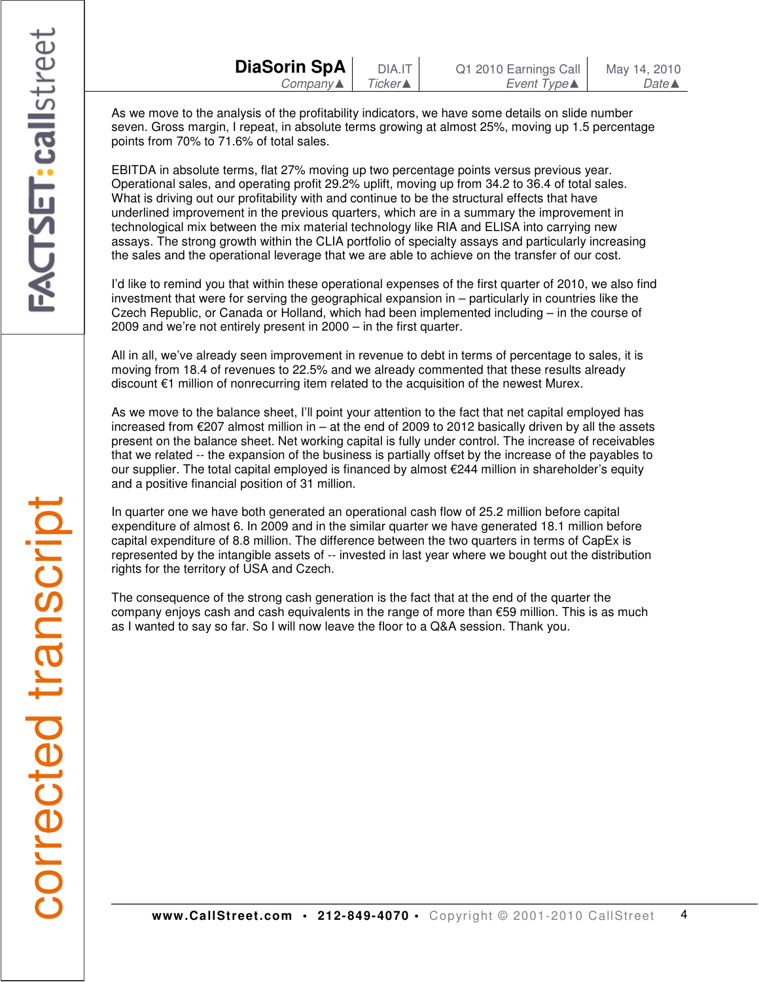As we move to the analysis of the profitability indicators, we have some details on slide number seven. Gross margin, I repeat, in absolute terms growing at almost 25%, moving up 1.5 percentage points from 70% to 71.6% of total sales.

EBITDA in absolute terms, flat 27% moving up two percentage points versus previous year. Operational sales, and operating profit 29.2% uplift, moving up from 34.2 to 36.4 of total sales. What is driving out our profitability with and continue to be the structural effects that have underlined improvement in the previous quarters, which are in a summary the improvement in technological mix between the mix material technology like RIA and ELISA into carrying new assays. The strong growth within the CLIA portfolio of specialty assays and particularly increasing the sales and the operational leverage that we are able to achieve on the transfer of our cost.

I'd like to remind you that within these operational expenses of the first quarter of 2010, we also find investment that were for serving the geographical expansion in – particularly in countries like the Czech Republic, or Canada or Holland, which had been implemented including – in the course of 2009 and we're not entirely present in 2000 – in the first quarter.

All in all, we've already seen improvement in revenue to debt in terms of percentage to sales, it is moving from 18.4 of revenues to 22.5% and we already commented that these results already discount €1 million of nonrecurring item related to the acquisition of the newest Murex.

As we move to the balance sheet, I'll point your attention to the fact that net capital employed has increased from €207 almost million in – at the end of 2009 to 2012 basically driven by all the assets present on the balance sheet. Net working capital is fully under control. The increase of receivables that we related -- the expansion of the business is partially offset by the increase of the payables to our supplier. The total capital employed is financed by almost €244 million in shareholder's equity and a positive financial position of 31 million.

In quarter one we have both generated an operational cash flow of 25.2 million before capital expenditure of almost 6. In 2009 and in the similar quarter we have generated 18.1 million before capital expenditure of 8.8 million. The difference between the two quarters in terms of CapEx is represented by the intangible assets of -- invested in last year where we bought out the distribution rights for the territory of USA and Czech.

The consequence of the strong cash generation is the fact that at the end of the quarter the company enjoys cash and cash equivalents in the range of more than €59 million. This is as much as I wanted to say so far. So I will now leave the floor to a Q&A session. Thank you.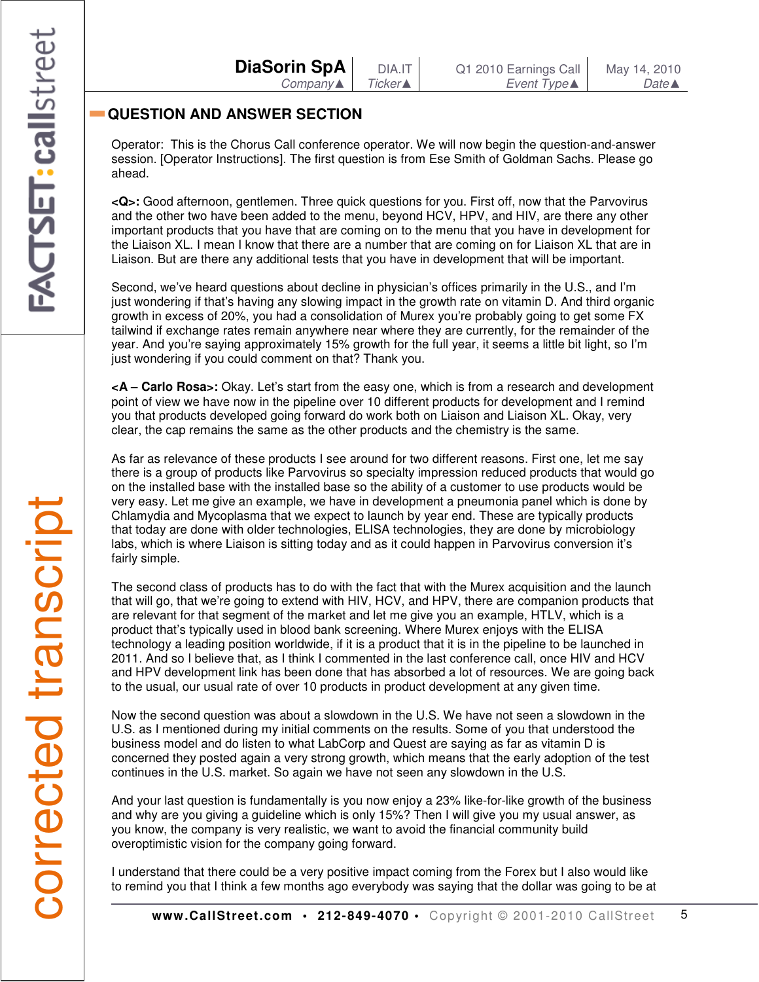# **QUESTION AND ANSWER SECTION**

Operator: This is the Chorus Call conference operator. We will now begin the question-and-answer session. [Operator Instructions]. The first question is from Ese Smith of Goldman Sachs. Please go ahead.

**<Q>:** Good afternoon, gentlemen. Three quick questions for you. First off, now that the Parvovirus and the other two have been added to the menu, beyond HCV, HPV, and HIV, are there any other important products that you have that are coming on to the menu that you have in development for the Liaison XL. I mean I know that there are a number that are coming on for Liaison XL that are in Liaison. But are there any additional tests that you have in development that will be important.

Second, we've heard questions about decline in physician's offices primarily in the U.S., and I'm just wondering if that's having any slowing impact in the growth rate on vitamin D. And third organic growth in excess of 20%, you had a consolidation of Murex you're probably going to get some FX tailwind if exchange rates remain anywhere near where they are currently, for the remainder of the year. And you're saying approximately 15% growth for the full year, it seems a little bit light, so I'm just wondering if you could comment on that? Thank you.

**<A – Carlo Rosa>:** Okay. Let's start from the easy one, which is from a research and development point of view we have now in the pipeline over 10 different products for development and I remind you that products developed going forward do work both on Liaison and Liaison XL. Okay, very clear, the cap remains the same as the other products and the chemistry is the same.

As far as relevance of these products I see around for two different reasons. First one, let me say there is a group of products like Parvovirus so specialty impression reduced products that would go on the installed base with the installed base so the ability of a customer to use products would be very easy. Let me give an example, we have in development a pneumonia panel which is done by Chlamydia and Mycoplasma that we expect to launch by year end. These are typically products that today are done with older technologies, ELISA technologies, they are done by microbiology labs, which is where Liaison is sitting today and as it could happen in Parvovirus conversion it's fairly simple.

The second class of products has to do with the fact that with the Murex acquisition and the launch that will go, that we're going to extend with HIV, HCV, and HPV, there are companion products that are relevant for that segment of the market and let me give you an example, HTLV, which is a product that's typically used in blood bank screening. Where Murex enjoys with the ELISA technology a leading position worldwide, if it is a product that it is in the pipeline to be launched in 2011. And so I believe that, as I think I commented in the last conference call, once HIV and HCV and HPV development link has been done that has absorbed a lot of resources. We are going back to the usual, our usual rate of over 10 products in product development at any given time.

Now the second question was about a slowdown in the U.S. We have not seen a slowdown in the U.S. as I mentioned during my initial comments on the results. Some of you that understood the business model and do listen to what LabCorp and Quest are saying as far as vitamin D is concerned they posted again a very strong growth, which means that the early adoption of the test continues in the U.S. market. So again we have not seen any slowdown in the U.S.

And your last question is fundamentally is you now enjoy a 23% like-for-like growth of the business and why are you giving a guideline which is only 15%? Then I will give you my usual answer, as you know, the company is very realistic, we want to avoid the financial community build overoptimistic vision for the company going forward.

I understand that there could be a very positive impact coming from the Forex but I also would like to remind you that I think a few months ago everybody was saying that the dollar was going to be at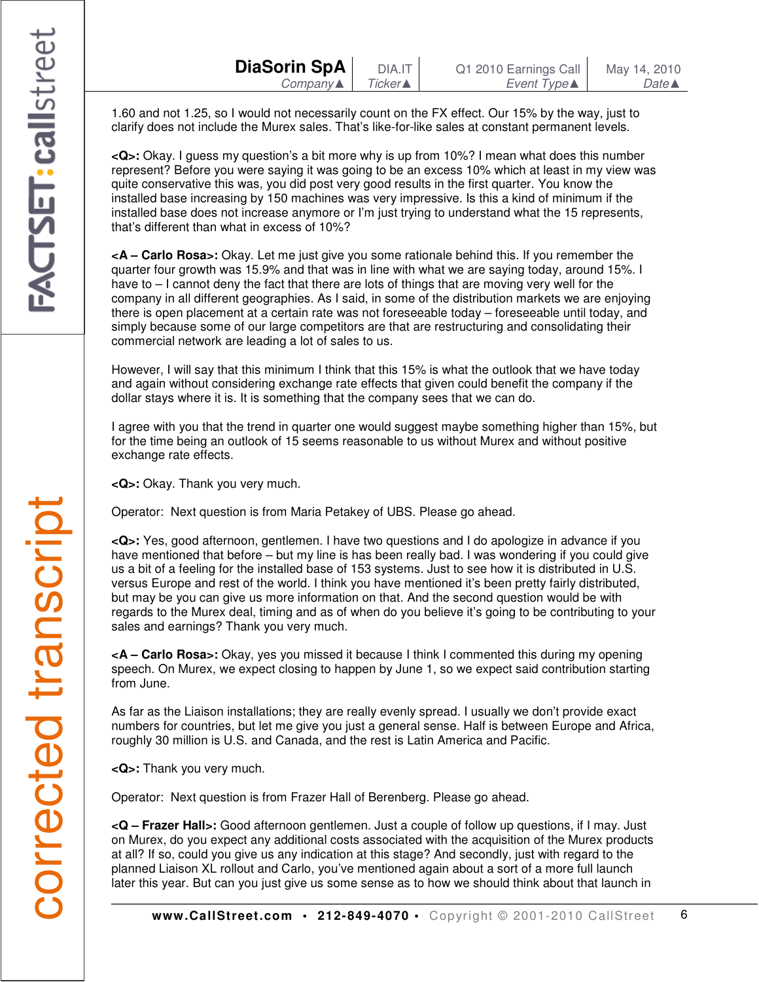1.60 and not 1.25, so I would not necessarily count on the FX effect. Our 15% by the way, just to clarify does not include the Murex sales. That's like-for-like sales at constant permanent levels.

**<Q>:** Okay. I guess my question's a bit more why is up from 10%? I mean what does this number represent? Before you were saying it was going to be an excess 10% which at least in my view was quite conservative this was, you did post very good results in the first quarter. You know the installed base increasing by 150 machines was very impressive. Is this a kind of minimum if the installed base does not increase anymore or I'm just trying to understand what the 15 represents, that's different than what in excess of 10%?

**<A – Carlo Rosa>:** Okay. Let me just give you some rationale behind this. If you remember the quarter four growth was 15.9% and that was in line with what we are saying today, around 15%. I have to  $-1$  cannot deny the fact that there are lots of things that are moving very well for the company in all different geographies. As I said, in some of the distribution markets we are enjoying there is open placement at a certain rate was not foreseeable today – foreseeable until today, and simply because some of our large competitors are that are restructuring and consolidating their commercial network are leading a lot of sales to us.

However, I will say that this minimum I think that this 15% is what the outlook that we have today and again without considering exchange rate effects that given could benefit the company if the dollar stays where it is. It is something that the company sees that we can do.

I agree with you that the trend in quarter one would suggest maybe something higher than 15%, but for the time being an outlook of 15 seems reasonable to us without Murex and without positive exchange rate effects.

**<Q>:** Okay. Thank you very much.

Operator: Next question is from Maria Petakey of UBS. Please go ahead.

**<Q>:** Yes, good afternoon, gentlemen. I have two questions and I do apologize in advance if you have mentioned that before – but my line is has been really bad. I was wondering if you could give us a bit of a feeling for the installed base of 153 systems. Just to see how it is distributed in U.S. versus Europe and rest of the world. I think you have mentioned it's been pretty fairly distributed, but may be you can give us more information on that. And the second question would be with regards to the Murex deal, timing and as of when do you believe it's going to be contributing to your sales and earnings? Thank you very much.

**<A – Carlo Rosa>:** Okay, yes you missed it because I think I commented this during my opening speech. On Murex, we expect closing to happen by June 1, so we expect said contribution starting from June.

As far as the Liaison installations; they are really evenly spread. I usually we don't provide exact numbers for countries, but let me give you just a general sense. Half is between Europe and Africa, roughly 30 million is U.S. and Canada, and the rest is Latin America and Pacific.

**<Q>:** Thank you very much.

Operator: Next question is from Frazer Hall of Berenberg. Please go ahead.

**<Q – Frazer Hall>:** Good afternoon gentlemen. Just a couple of follow up questions, if I may. Just on Murex, do you expect any additional costs associated with the acquisition of the Murex products at all? If so, could you give us any indication at this stage? And secondly, just with regard to the planned Liaison XL rollout and Carlo, you've mentioned again about a sort of a more full launch later this year. But can you just give us some sense as to how we should think about that launch in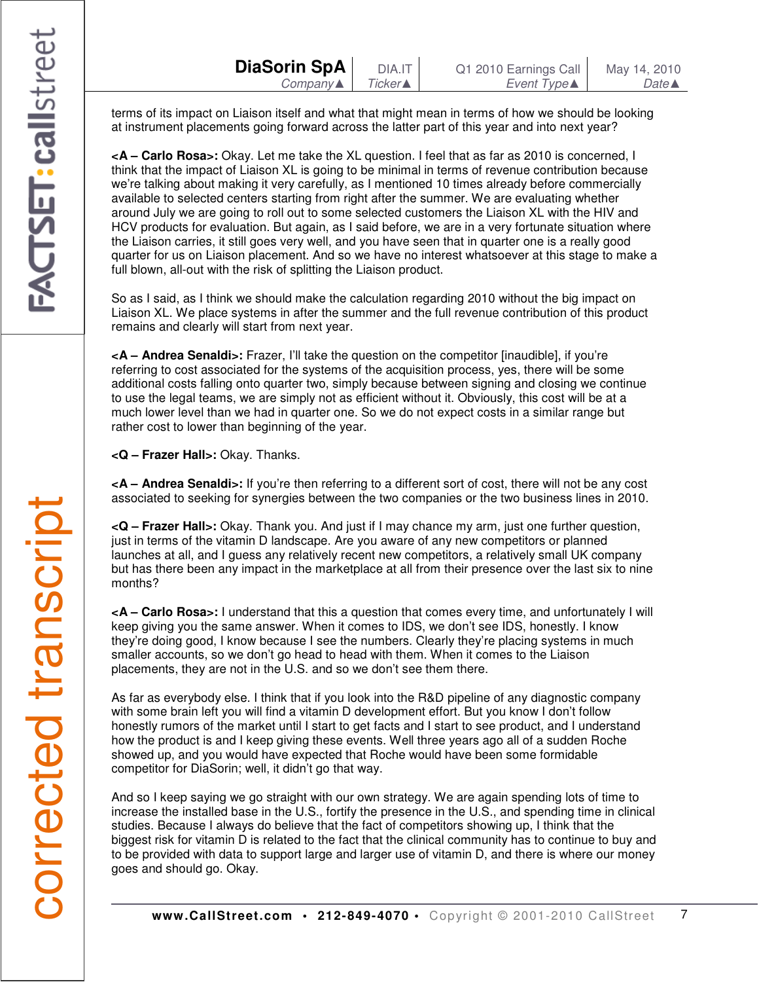terms of its impact on Liaison itself and what that might mean in terms of how we should be looking at instrument placements going forward across the latter part of this year and into next year?

**<A – Carlo Rosa>:** Okay. Let me take the XL question. I feel that as far as 2010 is concerned, I think that the impact of Liaison XL is going to be minimal in terms of revenue contribution because we're talking about making it very carefully, as I mentioned 10 times already before commercially available to selected centers starting from right after the summer. We are evaluating whether around July we are going to roll out to some selected customers the Liaison XL with the HIV and HCV products for evaluation. But again, as I said before, we are in a very fortunate situation where the Liaison carries, it still goes very well, and you have seen that in quarter one is a really good quarter for us on Liaison placement. And so we have no interest whatsoever at this stage to make a full blown, all-out with the risk of splitting the Liaison product.

So as I said, as I think we should make the calculation regarding 2010 without the big impact on Liaison XL. We place systems in after the summer and the full revenue contribution of this product remains and clearly will start from next year.

**<A – Andrea Senaldi>:** Frazer, I'll take the question on the competitor [inaudible], if you're referring to cost associated for the systems of the acquisition process, yes, there will be some additional costs falling onto quarter two, simply because between signing and closing we continue to use the legal teams, we are simply not as efficient without it. Obviously, this cost will be at a much lower level than we had in quarter one. So we do not expect costs in a similar range but rather cost to lower than beginning of the year.

**<Q – Frazer Hall>:** Okay. Thanks.

**<A – Andrea Senaldi>:** If you're then referring to a different sort of cost, there will not be any cost associated to seeking for synergies between the two companies or the two business lines in 2010.

**<Q – Frazer Hall>:** Okay. Thank you. And just if I may chance my arm, just one further question, just in terms of the vitamin D landscape. Are you aware of any new competitors or planned launches at all, and I guess any relatively recent new competitors, a relatively small UK company but has there been any impact in the marketplace at all from their presence over the last six to nine months?

**<A – Carlo Rosa>:** I understand that this a question that comes every time, and unfortunately I will keep giving you the same answer. When it comes to IDS, we don't see IDS, honestly. I know they're doing good, I know because I see the numbers. Clearly they're placing systems in much smaller accounts, so we don't go head to head with them. When it comes to the Liaison placements, they are not in the U.S. and so we don't see them there.

As far as everybody else. I think that if you look into the R&D pipeline of any diagnostic company with some brain left you will find a vitamin D development effort. But you know I don't follow honestly rumors of the market until I start to get facts and I start to see product, and I understand how the product is and I keep giving these events. Well three years ago all of a sudden Roche showed up, and you would have expected that Roche would have been some formidable competitor for DiaSorin; well, it didn't go that way.

And so I keep saying we go straight with our own strategy. We are again spending lots of time to increase the installed base in the U.S., fortify the presence in the U.S., and spending time in clinical studies. Because I always do believe that the fact of competitors showing up, I think that the biggest risk for vitamin D is related to the fact that the clinical community has to continue to buy and to be provided with data to support large and larger use of vitamin D, and there is where our money goes and should go. Okay.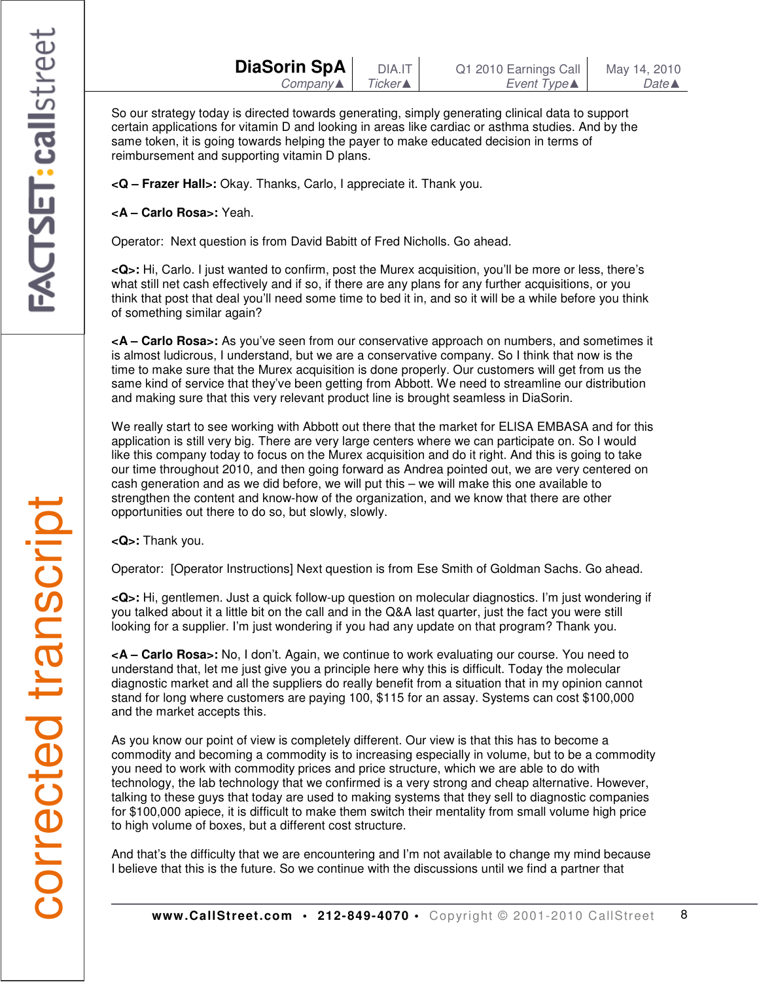So our strategy today is directed towards generating, simply generating clinical data to support certain applications for vitamin D and looking in areas like cardiac or asthma studies. And by the same token, it is going towards helping the payer to make educated decision in terms of reimbursement and supporting vitamin D plans.

**<Q – Frazer Hall>:** Okay. Thanks, Carlo, I appreciate it. Thank you.

**<A – Carlo Rosa>:** Yeah.

Operator: Next question is from David Babitt of Fred Nicholls. Go ahead.

**<Q>:** Hi, Carlo. I just wanted to confirm, post the Murex acquisition, you'll be more or less, there's what still net cash effectively and if so, if there are any plans for any further acquisitions, or you think that post that deal you'll need some time to bed it in, and so it will be a while before you think of something similar again?

**<A – Carlo Rosa>:** As you've seen from our conservative approach on numbers, and sometimes it is almost ludicrous, I understand, but we are a conservative company. So I think that now is the time to make sure that the Murex acquisition is done properly. Our customers will get from us the same kind of service that they've been getting from Abbott. We need to streamline our distribution and making sure that this very relevant product line is brought seamless in DiaSorin.

We really start to see working with Abbott out there that the market for ELISA EMBASA and for this application is still very big. There are very large centers where we can participate on. So I would like this company today to focus on the Murex acquisition and do it right. And this is going to take our time throughout 2010, and then going forward as Andrea pointed out, we are very centered on cash generation and as we did before, we will put this – we will make this one available to strengthen the content and know-how of the organization, and we know that there are other opportunities out there to do so, but slowly, slowly.

**<Q>:** Thank you.

Operator: [Operator Instructions] Next question is from Ese Smith of Goldman Sachs. Go ahead.

**<Q>:** Hi, gentlemen. Just a quick follow-up question on molecular diagnostics. I'm just wondering if you talked about it a little bit on the call and in the Q&A last quarter, just the fact you were still looking for a supplier. I'm just wondering if you had any update on that program? Thank you.

**<A – Carlo Rosa>:** No, I don't. Again, we continue to work evaluating our course. You need to understand that, let me just give you a principle here why this is difficult. Today the molecular diagnostic market and all the suppliers do really benefit from a situation that in my opinion cannot stand for long where customers are paying 100, \$115 for an assay. Systems can cost \$100,000 and the market accepts this.

As you know our point of view is completely different. Our view is that this has to become a commodity and becoming a commodity is to increasing especially in volume, but to be a commodity you need to work with commodity prices and price structure, which we are able to do with technology, the lab technology that we confirmed is a very strong and cheap alternative. However, talking to these guys that today are used to making systems that they sell to diagnostic companies for \$100,000 apiece, it is difficult to make them switch their mentality from small volume high price to high volume of boxes, but a different cost structure.

And that's the difficulty that we are encountering and I'm not available to change my mind because I believe that this is the future. So we continue with the discussions until we find a partner that